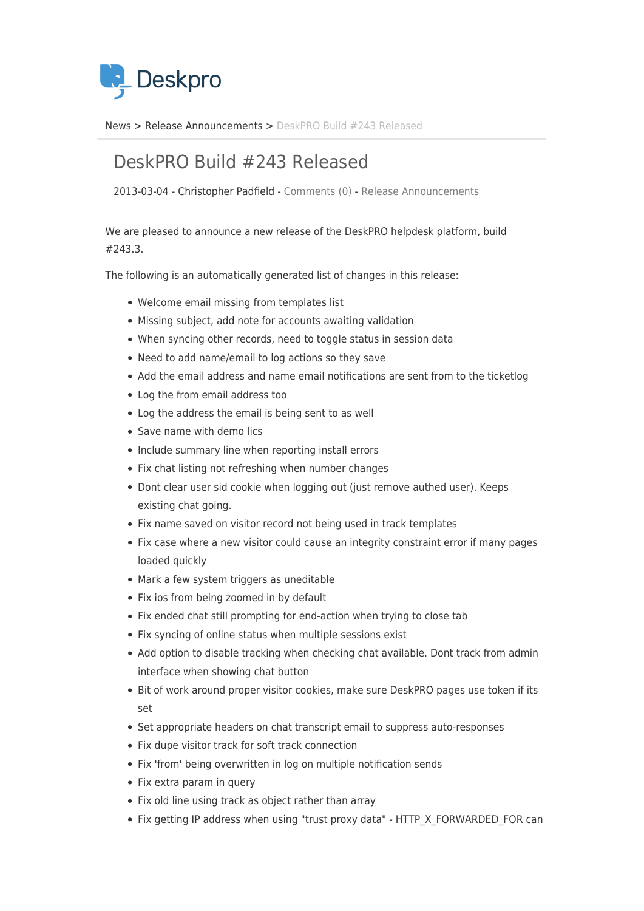

[News](https://support.deskpro.com/da/news) > [Release Announcements](https://support.deskpro.com/da/news/release-announcements) > [DeskPRO Build #243 Released](https://support.deskpro.com/da/news/posts/deskpro-build-243-released-2)

## DeskPRO Build #243 Released

2013-03-04 - Christopher Padfield - [Comments \(0\)](#page--1-0) - [Release Announcements](https://support.deskpro.com/da/news/release-announcements)

We are pleased to announce a new release of the DeskPRO helpdesk platform, build #243.3.

The following is an automatically generated list of changes in this release:

- Welcome email missing from templates list
- Missing subject, add note for accounts awaiting validation
- When syncing other records, need to toggle status in session data
- Need to add name/email to log actions so they save
- Add the email address and name email notifications are sent from to the ticketlog
- Log the from email address too
- Log the address the email is being sent to as well
- Save name with demo lics
- Include summary line when reporting install errors
- Fix chat listing not refreshing when number changes
- Dont clear user sid cookie when logging out (just remove authed user). Keeps existing chat going.
- Fix name saved on visitor record not being used in track templates
- Fix case where a new visitor could cause an integrity constraint error if many pages loaded quickly
- Mark a few system triggers as uneditable
- Fix ios from being zoomed in by default
- Fix ended chat still prompting for end-action when trying to close tab
- Fix syncing of online status when multiple sessions exist
- Add option to disable tracking when checking chat available. Dont track from admin interface when showing chat button
- Bit of work around proper visitor cookies, make sure DeskPRO pages use token if its set
- Set appropriate headers on chat transcript email to suppress auto-responses
- Fix dupe visitor track for soft track connection
- Fix 'from' being overwritten in log on multiple notification sends
- Fix extra param in query
- Fix old line using track as object rather than array
- Fix getting IP address when using "trust proxy data" HTTP X FORWARDED FOR can